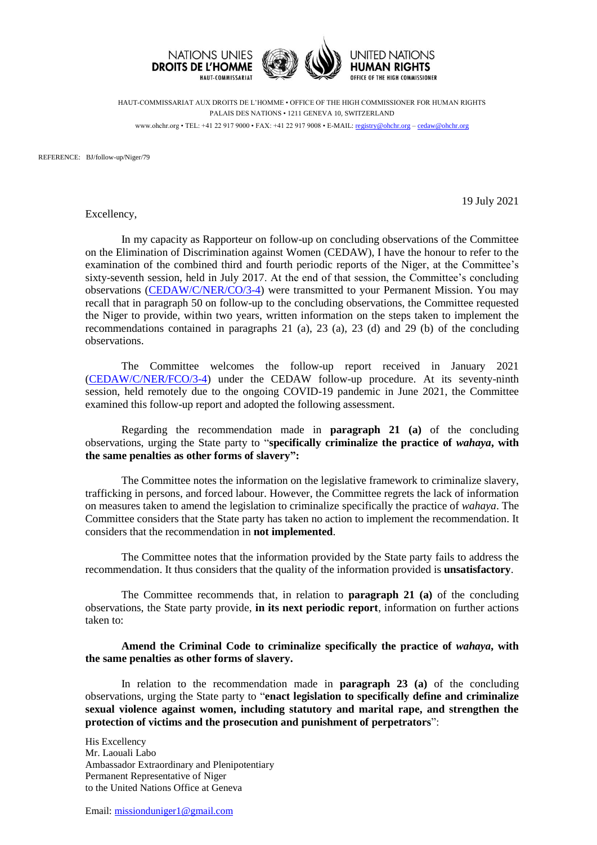

HAUT-COMMISSARIAT AUX DROITS DE L'HOMME • OFFICE OF THE HIGH COMMISSIONER FOR HUMAN RIGHTS PALAIS DES NATIONS • 1211 GENEVA 10, SWITZERLAND www.ohchr.org • TEL: +41 22 917 9000 • FAX: +41 22 917 9008 • E-MAIL: [registry@ohchr.org](mailto:registry@ohchr.org) – [cedaw@ohchr.org](mailto:cedaw@ohchr.org)

REFERENCE: BJ/follow-up/Niger/79

Excellency,

19 July 2021

In my capacity as Rapporteur on follow-up on concluding observations of the Committee on the Elimination of Discrimination against Women (CEDAW), I have the honour to refer to the examination of the combined third and fourth periodic reports of the Niger, at the Committee's sixty-seventh session, held in July 2017. At the end of that session, the Committee's concluding observations [\(CEDAW/C/NER/CO/3-4\)](https://undocs.org/CEDAW/C/NER/CO/3-4) were transmitted to your Permanent Mission. You may recall that in paragraph 50 on follow-up to the concluding observations, the Committee requested the Niger to provide, within two years, written information on the steps taken to implement the recommendations contained in paragraphs 21 (a), 23 (a), 23 (d) and 29 (b) of the concluding observations.

The Committee welcomes the follow-up report received in January 2021 [\(CEDAW/C/NER/FCO/3-4\)](https://undocs.org/CEDAW/C/NER/FCO/3-4) under the CEDAW follow-up procedure. At its seventy-ninth session, held remotely due to the ongoing COVID-19 pandemic in June 2021, the Committee examined this follow-up report and adopted the following assessment.

Regarding the recommendation made in **paragraph 21 (a)** of the concluding observations, urging the State party to "**specifically criminalize the practice of** *wahaya***, with the same penalties as other forms of slavery":**

The Committee notes the information on the legislative framework to criminalize slavery, trafficking in persons, and forced labour. However, the Committee regrets the lack of information on measures taken to amend the legislation to criminalize specifically the practice of *wahaya*. The Committee considers that the State party has taken no action to implement the recommendation. It considers that the recommendation in **not implemented**.

The Committee notes that the information provided by the State party fails to address the recommendation. It thus considers that the quality of the information provided is **unsatisfactory**.

The Committee recommends that, in relation to **paragraph 21 (a)** of the concluding observations, the State party provide, **in its next periodic report**, information on further actions taken to:

**Amend the Criminal Code to criminalize specifically the practice of** *wahaya***, with the same penalties as other forms of slavery.**

In relation to the recommendation made in **paragraph 23 (a)** of the concluding observations, urging the State party to "**enact legislation to specifically define and criminalize sexual violence against women, including statutory and marital rape, and strengthen the protection of victims and the prosecution and punishment of perpetrators**":

His Excellency Mr. Laouali Labo Ambassador Extraordinary and Plenipotentiary Permanent Representative of Niger to the United Nations Office at Geneva

Email: [missionduniger1@gmail.com](mailto:missionduniger1@gmail.com)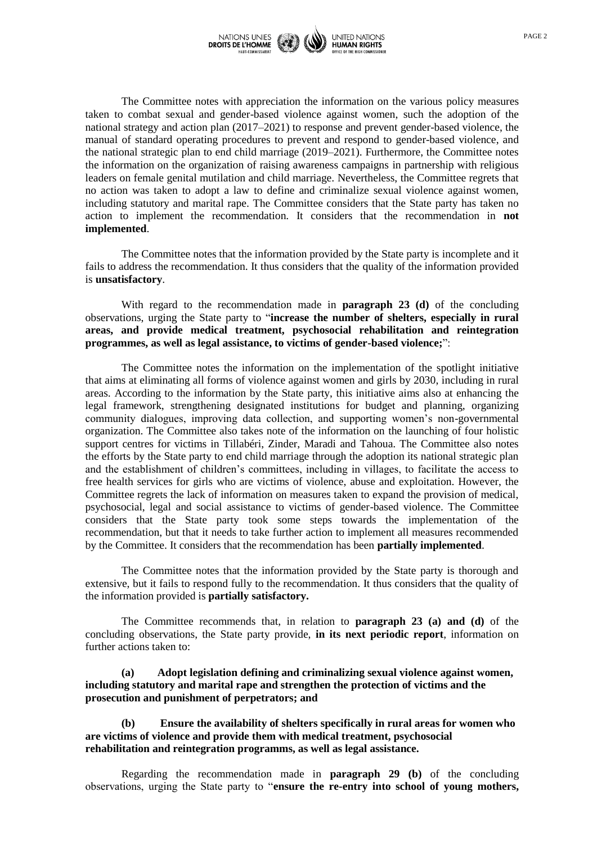

The Committee notes with appreciation the information on the various policy measures taken to combat sexual and gender-based violence against women, such the adoption of the national strategy and action plan (2017–2021) to response and prevent gender-based violence, the manual of standard operating procedures to prevent and respond to gender-based violence, and the national strategic plan to end child marriage (2019–2021). Furthermore, the Committee notes the information on the organization of raising awareness campaigns in partnership with religious leaders on female genital mutilation and child marriage. Nevertheless, the Committee regrets that no action was taken to adopt a law to define and criminalize sexual violence against women, including statutory and marital rape. The Committee considers that the State party has taken no action to implement the recommendation. It considers that the recommendation in **not implemented**.

The Committee notes that the information provided by the State party is incomplete and it fails to address the recommendation. It thus considers that the quality of the information provided is **unsatisfactory**.

With regard to the recommendation made in **paragraph 23 (d)** of the concluding observations, urging the State party to "**increase the number of shelters, especially in rural areas, and provide medical treatment, psychosocial rehabilitation and reintegration programmes, as well as legal assistance, to victims of gender-based violence;**":

The Committee notes the information on the implementation of the spotlight initiative that aims at eliminating all forms of violence against women and girls by 2030, including in rural areas. According to the information by the State party, this initiative aims also at enhancing the legal framework, strengthening designated institutions for budget and planning, organizing community dialogues, improving data collection, and supporting women's non-governmental organization. The Committee also takes note of the information on the launching of four holistic support centres for victims in Tillabéri, Zinder, Maradi and Tahoua. The Committee also notes the efforts by the State party to end child marriage through the adoption its national strategic plan and the establishment of children's committees, including in villages, to facilitate the access to free health services for girls who are victims of violence, abuse and exploitation. However, the Committee regrets the lack of information on measures taken to expand the provision of medical, psychosocial, legal and social assistance to victims of gender-based violence. The Committee considers that the State party took some steps towards the implementation of the recommendation, but that it needs to take further action to implement all measures recommended by the Committee. It considers that the recommendation has been **partially implemented**.

The Committee notes that the information provided by the State party is thorough and extensive, but it fails to respond fully to the recommendation. It thus considers that the quality of the information provided is **partially satisfactory.**

The Committee recommends that, in relation to **paragraph 23 (a) and (d)** of the concluding observations, the State party provide, **in its next periodic report**, information on further actions taken to:

**(a) Adopt legislation defining and criminalizing sexual violence against women, including statutory and marital rape and strengthen the protection of victims and the prosecution and punishment of perpetrators; and**

**(b) Ensure the availability of shelters specifically in rural areas for women who are victims of violence and provide them with medical treatment, psychosocial rehabilitation and reintegration programms, as well as legal assistance.** 

Regarding the recommendation made in **paragraph 29 (b)** of the concluding observations, urging the State party to "**ensure the re-entry into school of young mothers,**